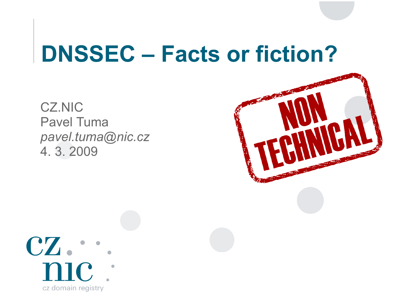## **DNSSEC – Facts or fiction?**

CZ.NIC Pavel Tuma *[pavel.tuma@nic.cz](mailto:pavel.tuma@nic.cz)* 4. 3. 2009



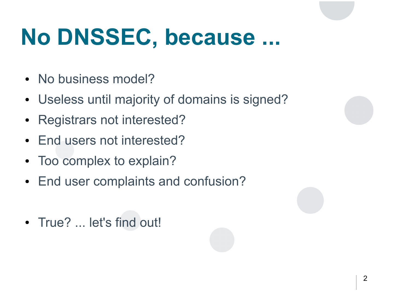## **No DNSSEC, because ...**

- No business model?
- Useless until majority of domains is signed?
- Registrars not interested?
- End users not interested?
- Too complex to explain?
- End user complaints and confusion?
- True? ... let's find out!

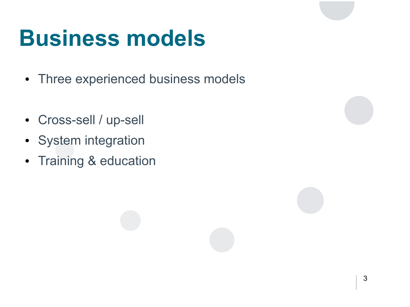- Three experienced business models
- Cross-sell / up-sell
- System integration
- Training & education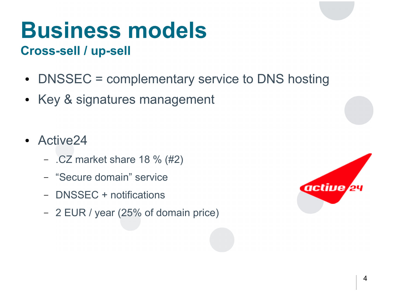#### **Cross-sell / up-sell**

- DNSSEC = complementary service to DNS hosting
- Key & signatures management
- Active24
	- .CZ market share 18 % (#2)
	- "Secure domain" service
	- DNSSEC + notifications
	- 2 EUR / year (25% of domain price)

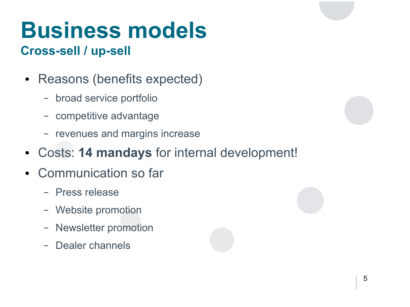### **Cross-sell / up-sell**

- Reasons (benefits expected)
	- broad service portfolio
	- competitive advantage
	- revenues and margins increase
- Costs: **14 mandays** for internal development!
- Communication so far
	- Press release
	- Website promotion
	- Newsletter promotion
	- Dealer channels

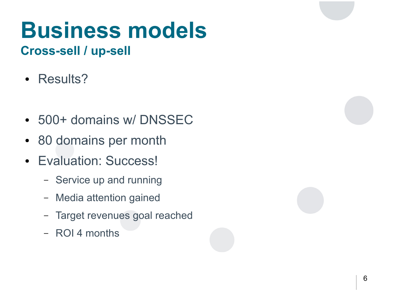### **Cross-sell / up-sell**

- Results?
- 500+ domains w/ DNSSEC
- 80 domains per month
- Evaluation: Success!
	- Service up and running
	- Media attention gained
	- Target revenues goal reached
	- ROI 4 months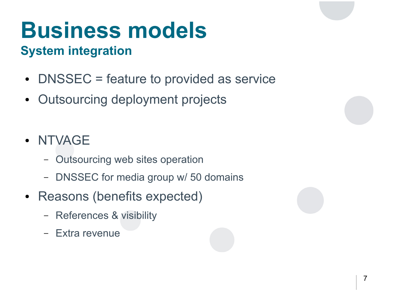## **System integration**

- DNSSEC = feature to provided as service
- Outsourcing deployment projects
- NTVAGE
	- Outsourcing web sites operation
	- DNSSEC for media group w/ 50 domains
- Reasons (benefits expected)
	- References & visibility
	- Extra revenue

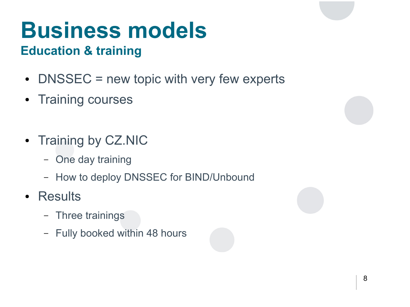## **Education & training**

- $\bullet$  DNSSEC = new topic with very few experts
- Training courses
- Training by CZ.NIC
	- One day training
	- How to deploy DNSSEC for BIND/Unbound
- Results
	- Three trainings
	- Fully booked within 48 hours

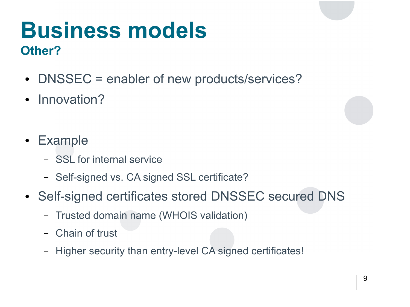## **Business models Other?**

- DNSSEC = enabler of new products/services?
- Innovation?
- Example
	- SSL for internal service
	- Self-signed vs. CA signed SSL certificate?
- Self-signed certificates stored DNSSEC secured DNS
	- Trusted domain name (WHOIS validation)
	- Chain of trust
	- Higher security than entry-level CA signed certificates!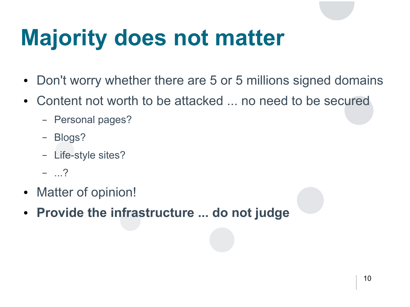## **Majority does not matter**

- Don't worry whether there are 5 or 5 millions signed domains
- Content not worth to be attacked ... no need to be secured
	- Personal pages?
	- Blogs?
	- Life-style sites?
	- ...?
- Matter of opinion!
- **Provide the infrastructure ... do not judge**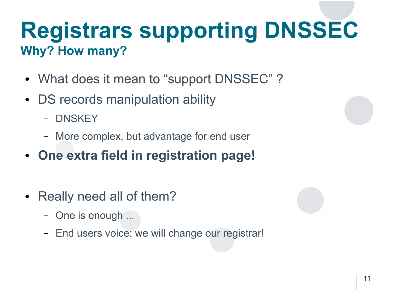## **Registrars supporting DNSSEC Why? How many?**

- What does it mean to "support DNSSEC"?
- DS records manipulation ability
	- DNSKEY
	- More complex, but advantage for end user
- **One extra field in registration page!**
- Really need all of them?
	- One is enough ...
	- End users voice: we will change our registrar!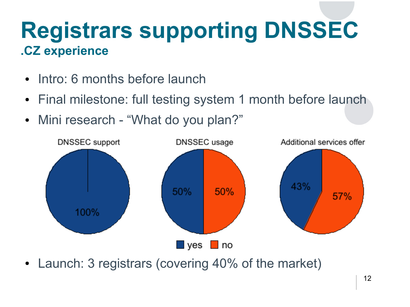## **Registrars supporting DNSSEC .CZ experience**

- Intro: 6 months before launch
- Final milestone: full testing system 1 month before launch
- Mini research "What do you plan?"



• Launch: 3 registrars (covering 40% of the market)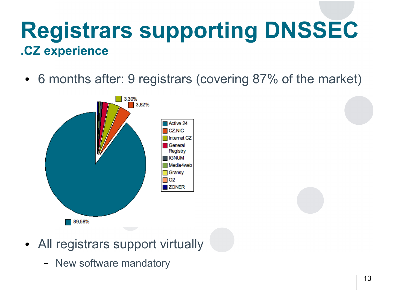## **Registrars supporting DNSSEC .CZ experience**

• 6 months after: 9 registrars (covering 87% of the market)



- All registrars support virtually
	- New software mandatory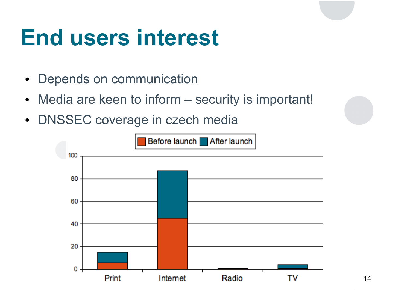## **End users interest**

- Depends on communication
- Media are keen to inform security is important!
- DNSSEC coverage in czech media

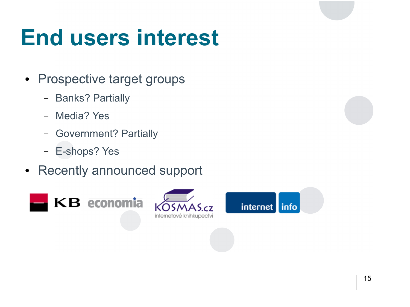## **End users interest**

- Prospective target groups
	- Banks? Partially
	- Media? Yes
	- Government? Partially
	- E-shops? Yes
- Recently announced support





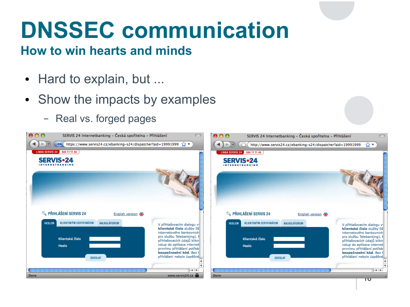## **DNSSEC communication**

#### **How to win hearts and minds**

- Hard to explain, but ...
- Show the impacts by examples
	- Real vs. forged pages

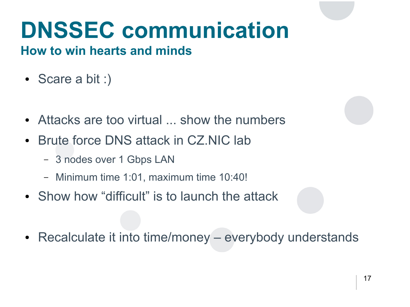# **DNSSEC communication**

#### **How to win hearts and minds**

- Scare a bit :)
- Attacks are too virtual ... show the numbers
- Brute force DNS attack in CZ.NIC lab
	- 3 nodes over 1 Gbps LAN
	- Minimum time 1:01, maximum time 10:40!
- Show how "difficult" is to launch the attack
- Recalculate it into time/money everybody understands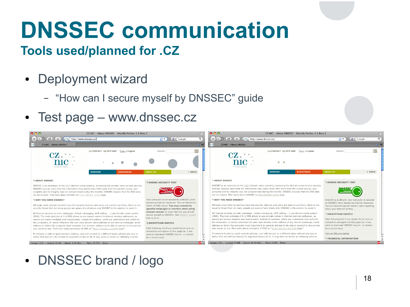# **DNSSEC communication**

#### **Tools used/planned for .CZ**

- Deployment wizard
	- "How can I secure myself by DNSSEC" guide
- Test page www.dnssec.cz



• DNSSEC brand / logo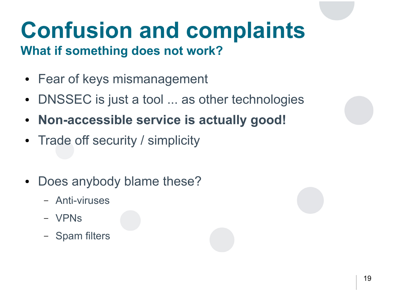# **Confusion and complaints**

### **What if something does not work?**

- Fear of keys mismanagement
- DNSSEC is just a tool ... as other technologies
- **Non-accessible service is actually good!**
- Trade off security / simplicity
- Does anybody blame these?
	- Anti-viruses
	- VPNs
	- Spam filters